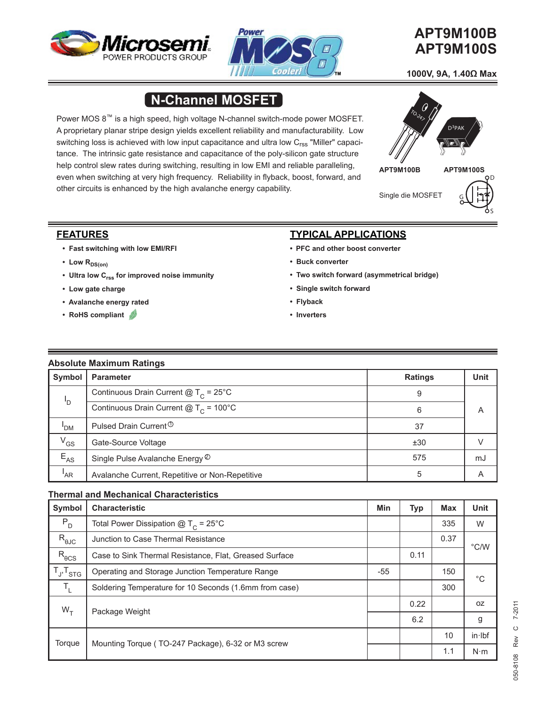



## **APT9M100B APT9M100S**

 **1000V, 9A, 1.40Ω Max**

# **N-Channel MOSFET**

Power MOS 8™ is a high speed, high voltage N-channel switch-mode power MOSFET. A proprietary planar stripe design yields excellent reliability and manufacturability. Low switching loss is achieved with low input capacitance and ultra low  $C_{\rm rss}$  "Miller" capacitance. The intrinsic gate resistance and capacitance of the poly-silicon gate structure help control slew rates during switching, resulting in low EMI and reliable paralleling, even when switching at very high frequency. Reliability in flyback, boost, forward, and other circuits is enhanced by the high avalanche energy capability.



#### **FEATURES**

- **Fast switching with low EMI/RFI**
- Low R<sub>DS(on)</sub>
- **Ultra low C<sub>rss</sub> for improved noise immunity**
- **Low gate charge**
- **Avalanche energy rated**
- **RoHS compliant**

### **TYPICAL APPLICATIONS**

- **PFC and other boost converter**
- **Buck converter**
- **Two switch forward (asymmetrical bridge)**
- **Single switch forward**
- **Flyback**
- **Inverters**

#### **Absolute Maximum Ratings**

| Symbol                    | <b>Parameter</b>                                | <b>Ratings</b> | Unit |
|---------------------------|-------------------------------------------------|----------------|------|
| $\mathsf{I}_{\mathsf{D}}$ | Continuous Drain Current $@T_c = 25°C$          | 9              |      |
|                           | Continuous Drain Current $@T_c = 100°C$         | 6              | Α    |
| 'DM                       | Pulsed Drain Current <sup>1</sup>               | 37             |      |
| $V_{GS}$                  | Gate-Source Voltage                             | ±30            |      |
| $E_{AS}$                  | Single Pulse Avalanche Energy ©                 | 575            | mJ   |
| 'AR                       | Avalanche Current, Repetitive or Non-Repetitive | 5              | A    |

#### **Thermal and Mechanical Characteristics**

| Symbol              | <b>Characteristic</b>                                  | Min   | <b>Typ</b> | <b>Max</b> | <b>Unit</b>   |
|---------------------|--------------------------------------------------------|-------|------------|------------|---------------|
| $P_D$               | Total Power Dissipation $@T_c = 25°C$                  |       |            | 335        | W             |
| $R_{\theta$ JC      | Junction to Case Thermal Resistance                    |       |            | 0.37       | $\degree$ C/W |
| $R_{\theta CS}$     | Case to Sink Thermal Resistance, Flat, Greased Surface |       | 0.11       |            |               |
| $T_{J}$ , $T_{STG}$ | Operating and Storage Junction Temperature Range       | $-55$ |            | 150        | $^{\circ}C$   |
| $T_{L}$             | Soldering Temperature for 10 Seconds (1.6mm from case) |       |            | 300        |               |
| $W_T$               | Package Weight                                         |       | 0.22       |            | OZ.           |
|                     |                                                        |       | 6.2        |            | g             |
| Torque              | Mounting Torque (TO-247 Package), 6-32 or M3 screw     |       |            | 10         | in·lbf        |
|                     |                                                        |       |            | 1.1        | $N \cdot m$   |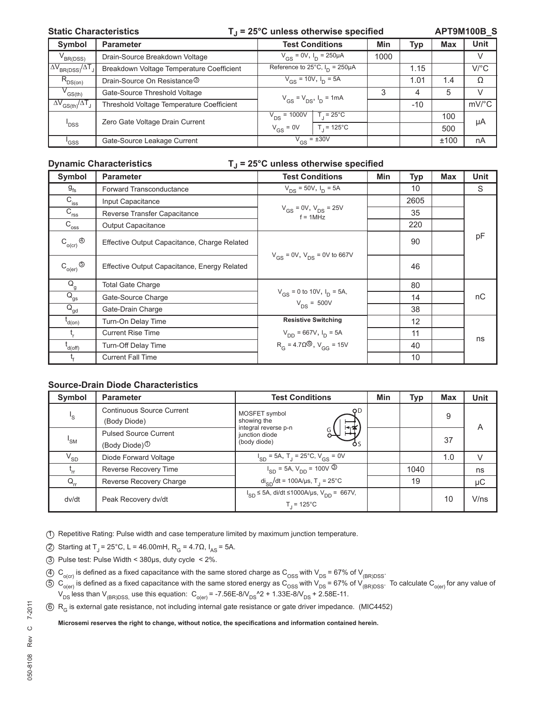#### Static Characteristics **T**<sub>J</sub> = 25°C unless otherwise specified

**APT9M100B\_S**

| Symbol                                               | <b>Parameter</b>                          | <b>Test Conditions</b>                           |                        | Min  | Typ   | <b>Max</b> | Unit                |
|------------------------------------------------------|-------------------------------------------|--------------------------------------------------|------------------------|------|-------|------------|---------------------|
| V <sub>BR(DSS)</sub>                                 | Drain-Source Breakdown Voltage            | $V_{GS} = 0V$ , $I_D = 250 \mu A$                |                        | 1000 |       |            | V                   |
| $\Delta V_{BR(DSS)}/\Delta T_J$                      | Breakdown Voltage Temperature Coefficient | Reference to $25^{\circ}$ C, $I_{D} = 250 \mu A$ |                        |      | 1.15  |            | $V$ /°C             |
| $R_{DS(on)}$                                         | Drain-Source On Resistance <sup>3</sup>   | $V_{GS} = 10V$ , $I_D = 5A$                      |                        |      | 1.01  | 1.4        | Ω                   |
| ${\rm V}_{\rm GS(th)}$                               | Gate-Source Threshold Voltage             | $V_{GS} = V_{DS}$ , $I_D = 1 \text{mA}$          |                        | 3    | 4     | 5          | V                   |
| $\Delta V$ <sub>GS(th)</sub> $\Delta T$ <sub>J</sub> | Threshold Voltage Temperature Coefficient |                                                  |                        |      | $-10$ |            | $mV$ <sup>o</sup> C |
| <sup>'</sup> DSS                                     | Zero Gate Voltage Drain Current           | $V_{DS} = 1000V$                                 | $T = 25^{\circ}$ C     |      |       | 100        | μA                  |
|                                                      |                                           | $V_{GS} = 0V$                                    | $T_{1} = 125^{\circ}C$ |      |       | 500        |                     |
| 'GSS                                                 | Gate-Source Leakage Current               | $V_{GS} = \pm 30V$                               |                        |      |       | ±100       | nA                  |

#### **Dynamic Characteristics TJ = 25°C unless otherwise specified**

| <b>Symbol</b>                            | <b>Parameter</b>                             | <b>Test Conditions</b>                                      | Min | <b>Typ</b>        | <b>Max</b> | <b>Unit</b> |
|------------------------------------------|----------------------------------------------|-------------------------------------------------------------|-----|-------------------|------------|-------------|
| $g_{\rm fs}$                             | Forward Transconductance                     | $V_{DS}$ = 50V, $I_D$ = 5A                                  |     | 10                |            | S           |
| $C_{\text{iss}}$                         | Input Capacitance                            |                                                             |     | 2605              |            |             |
| $C_{\text{rss}}$                         | Reverse Transfer Capacitance                 | $V_{GS}$ = 0V, $V_{DS}$ = 25V<br>$f = 1$ MHz                |     | 35                |            |             |
| $C_{\overline{\text{oss}}}$              | Output Capacitance                           |                                                             |     | 220               |            |             |
| $C_{o(cr)}^{\bullet}$                    | Effective Output Capacitance, Charge Related |                                                             |     | 90                |            | pF          |
| $\mathsf{C}_{\mathsf{o}(\mathsf{er})}$ ⑤ | Effective Output Capacitance, Energy Related | $V_{GS}$ = 0V, $V_{DS}$ = 0V to 667V                        |     | 46                |            |             |
| $Q_g$                                    | <b>Total Gate Charge</b>                     |                                                             |     | 80                |            |             |
| $Q_{gs}$                                 | Gate-Source Charge                           | $V_{GS}$ = 0 to 10V, $I_D$ = 5A,<br>$V_{DS} = 500V$         |     | 14                |            | пC          |
| $\bar{\mathsf{Q}}_\mathsf{gd}$           | Gate-Drain Charge                            |                                                             |     | 38                |            |             |
| $I_{d(0n)}$                              | Turn-On Delay Time                           | <b>Resistive Switching</b>                                  |     | $12 \overline{ }$ |            |             |
|                                          | <b>Current Rise Time</b>                     | $V_{DD} = 667V, I_D = 5A$                                   |     | 11                |            | ns          |
| l<br>d(off)                              | Turn-Off Delay Time                          | $R_G = 4.7 \Omega^{\textcircled{\tiny 0}}$ , $V_{GG} = 15V$ |     | 40                |            |             |
|                                          | <b>Current Fall Time</b>                     |                                                             |     | 10                |            |             |

#### **Source-Drain Diode Characteristics**

| Symbol       | <b>Parameter</b>                                          | <b>Test Conditions</b>                                                            | <b>Min</b> | Typ  | <b>Max</b> | <b>Unit</b> |
|--------------|-----------------------------------------------------------|-----------------------------------------------------------------------------------|------------|------|------------|-------------|
| 's           | Continuous Source Current<br>(Body Diode)                 | <b>OD</b><br>MOSFET symbol<br>showing the                                         |            |      | 9          |             |
| 'sm          | <b>Pulsed Source Current</b><br>(Body Diode) <sup>①</sup> | integral reverse p-n<br>ю≮<br>junction diode<br>(body diode)<br>o٢                |            |      | 37         | Α           |
| $\rm V_{SD}$ | Diode Forward Voltage                                     | $I_{SD}$ = 5A, T <sub>J</sub> = 25°C, V <sub>GS</sub> = 0V                        |            |      | 1.0        |             |
|              | Reverse Recovery Time                                     | $I_{SD}$ = 5A, $V_{DD}$ = 100V <sup>③</sup>                                       |            | 1040 |            | ns          |
| $Q_{rr}$     | Reverse Recovery Charge                                   | $di_{SD}/dt = 100A/\mu s$ , T <sub>1</sub> = 25°C                                 |            | 19   |            | μC          |
| dv/dt        | Peak Recovery dv/dt                                       | $I_{SD}$ ≤ 5A, di/dt ≤1000A/µs, V <sub>DD</sub> = 667V,<br>$T_{1} = 125^{\circ}C$ |            |      | 10         | V/ns        |

1 Repetitive Rating: Pulse width and case temperature limited by maximum junction temperature.

2 Starting at T<sub>J</sub> = 25°C, L = 46.00mH, R<sub>G</sub> = 4.7Ω, I<sub>AS</sub> = 5A.

- 3 Pulse test: Pulse Width < 380μs, duty cycle < 2%.
- $4)$  C<sub>o(cr)</sub> is defined as a fixed capacitance with the same stored charge as C<sub>OSS</sub> with V<sub>DS</sub> = 67% of V<sub>(BR)DSS</sub>.
- $5)$   $\rm C_{_{o(er)}}$  is defined as a fixed capacitance with the same stored energy as  $\rm C_{_{OSS}}$  with V<sub>DS</sub> = 67% of V<sub>(BR)DSS</sub>. To calculate C<sub>o(er)</sub> for any value of  $V_{DS}$  less than  $V_{(BR)DSS}$  use this equation:  $C_{o(er)}$  = -7.56E-8/V<sub>DS</sub><sup>^2</sup> + 1.33E-8/V<sub>DS</sub> + 2.58E-11.
- 6 R<sub>G</sub> is external gate resistance, not including internal gate resistance or gate driver impedance. (MIC4452)

**Microsemi reserves the right to change, without notice, the specifi cations and information contained herein.**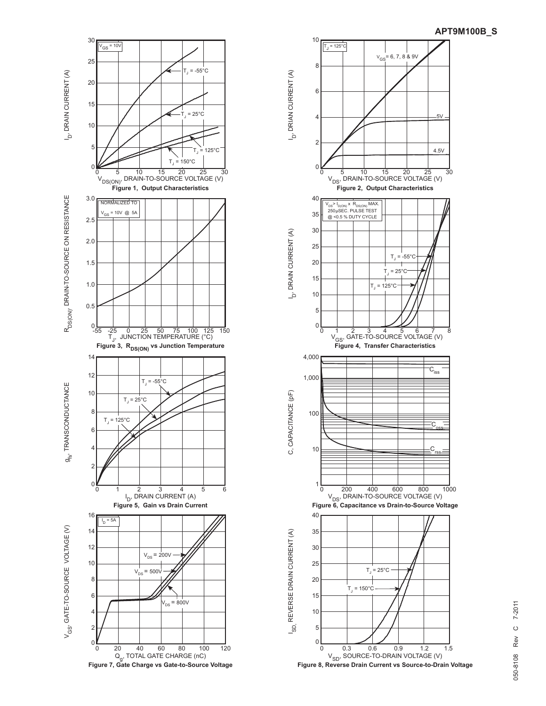